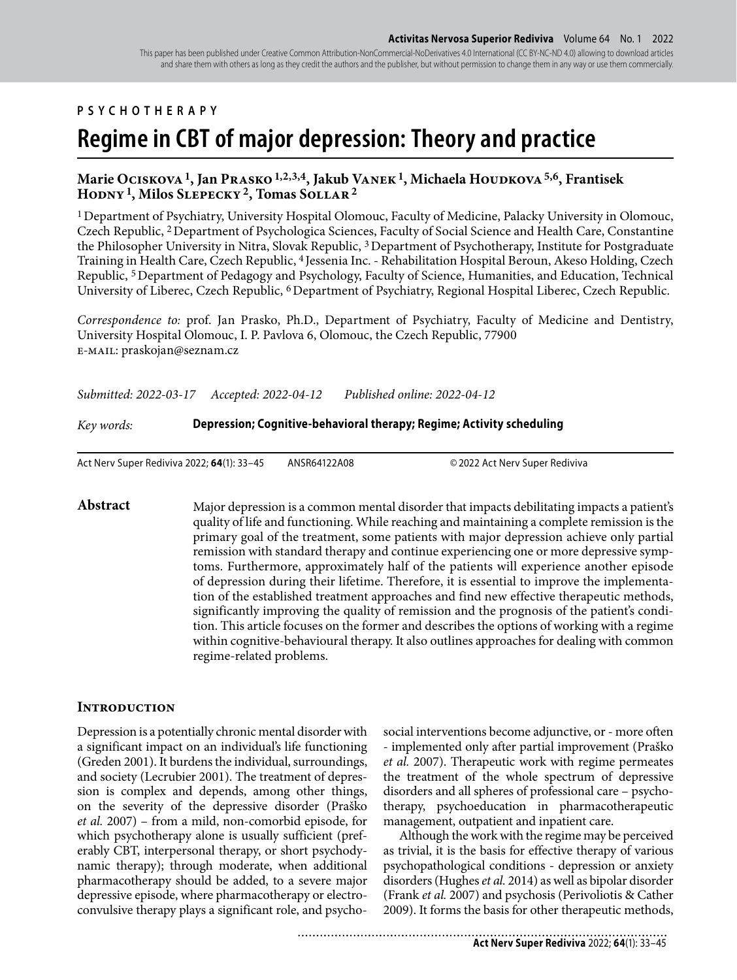# **PSYCHOTHERAPY**

# **Regime in CBT of major depression: Theory and practice**

## Marie Ociskova <sup>1</sup>, Jan Prasko <sup>1,2,3,4</sup>, Jakub Vanek <sup>1</sup>, Michaela Houdkova <sup>5,6</sup>, Frantisek **Hodny 1, Milos Slepecky 2, Tomas Sollar 2**

1 Department of Psychiatry, University Hospital Olomouc, Faculty of Medicine, Palacky University in Olomouc, Czech Republic, 2 Department of Psychologica Sciences, Faculty of Social Science and Health Care, Constantine the Philosopher University in Nitra, Slovak Republic, 3 Department of Psychotherapy, Institute for Postgraduate Training in Health Care, Czech Republic, 4 Jessenia Inc. - Rehabilitation Hospital Beroun, Akeso Holding, Czech Republic, 5 Department of Pedagogy and Psychology, Faculty of Science, Humanities, and Education, Technical University of Liberec, Czech Republic, 6 Department of Psychiatry, Regional Hospital Liberec, Czech Republic.

*Correspondence to:* prof. Jan Prasko, Ph.D., Department of Psychiatry, Faculty of Medicine and Dentistry, University Hospital Olomouc, I. P. Pavlova 6, Olomouc, the Czech Republic, 77900 e-mail: praskojan@seznam.cz

*Submitted: 2022-03-17 Accepted: 2022-04-12 Published online: 2022-04-12*

*Key words:* **Depression; Cognitive-behavioral therapy; Regime; Activity scheduling** 

Act Nerv Super Rediviva 2022; **64**(1): 33–45 ANSR64122A08 © 2022 Act Nerv Super Rediviva

**Abstract** Major depression is a common mental disorder that impacts debilitating impacts a patient's quality of life and functioning. While reaching and maintaining a complete remission is the primary goal of the treatment, some patients with major depression achieve only partial remission with standard therapy and continue experiencing one or more depressive symptoms. Furthermore, approximately half of the patients will experience another episode of depression during their lifetime. Therefore, it is essential to improve the implementation of the established treatment approaches and find new effective therapeutic methods, significantly improving the quality of remission and the prognosis of the patient's condition. This article focuses on the former and describes the options of working with a regime within cognitive-behavioural therapy. It also outlines approaches for dealing with common regime-related problems.

## **INTRODUCTION**

Depression is a potentially chronic mental disorder with a significant impact on an individual's life functioning (Greden 2001). It burdens the individual, surroundings, and society (Lecrubier 2001). The treatment of depression is complex and depends, among other things, on the severity of the depressive disorder (Praško *et al.* 2007) – from a mild, non-comorbid episode, for which psychotherapy alone is usually sufficient (preferably CBT, interpersonal therapy, or short psychodynamic therapy); through moderate, when additional pharmacotherapy should be added, to a severe major depressive episode, where pharmacotherapy or electroconvulsive therapy plays a significant role, and psycho-

social interventions become adjunctive, or - more often - implemented only after partial improvement (Praško *et al.* 2007). Therapeutic work with regime permeates the treatment of the whole spectrum of depressive disorders and all spheres of professional care – psychotherapy, psychoeducation in pharmacotherapeutic management, outpatient and inpatient care.

Although the work with the regime may be perceived as trivial, it is the basis for effective therapy of various psychopathological conditions - depression or anxiety disorders (Hughes *et al.* 2014) as well as bipolar disorder (Frank *et al.* 2007) and psychosis (Perivoliotis & Cather 2009). It forms the basis for other therapeutic methods,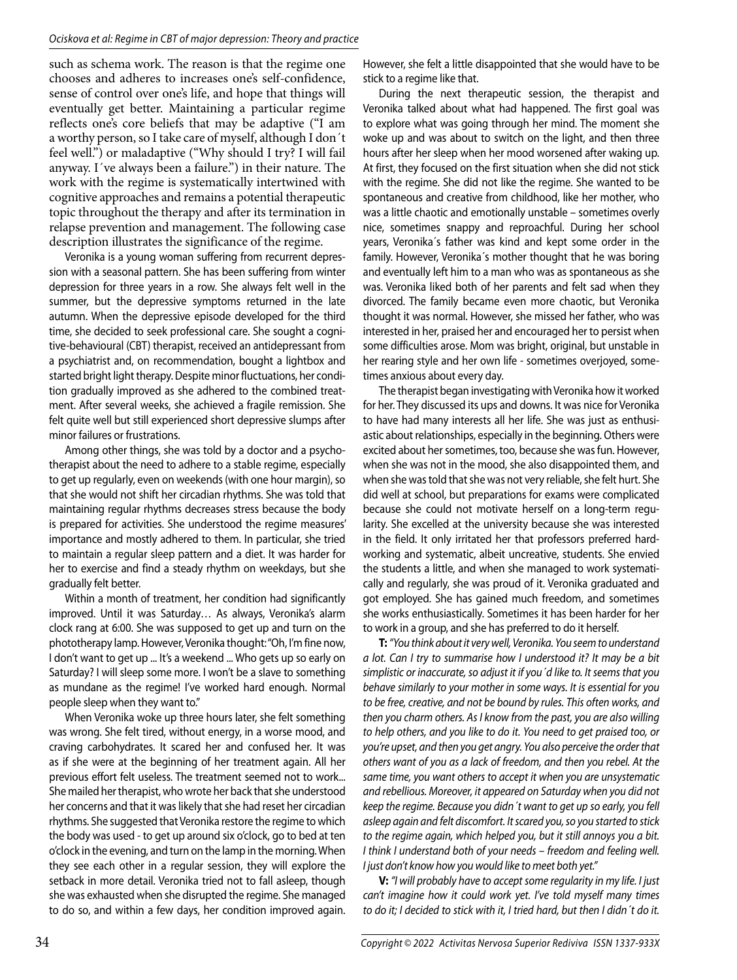such as schema work. The reason is that the regime one chooses and adheres to increases one's self-confidence, sense of control over one's life, and hope that things will eventually get better. Maintaining a particular regime reflects one's core beliefs that may be adaptive ("I am a worthy person, so I take care of myself, although I don´t feel well.") or maladaptive ("Why should I try? I will fail anyway. I´ve always been a failure.") in their nature. The work with the regime is systematically intertwined with cognitive approaches and remains a potential therapeutic topic throughout the therapy and after its termination in relapse prevention and management. The following case description illustrates the significance of the regime.

Veronika is a young woman suffering from recurrent depression with a seasonal pattern. She has been suffering from winter depression for three years in a row. She always felt well in the summer, but the depressive symptoms returned in the late autumn. When the depressive episode developed for the third time, she decided to seek professional care. She sought a cognitive-behavioural (CBT) therapist, received an antidepressant from a psychiatrist and, on recommendation, bought a lightbox and started bright light therapy. Despite minor fluctuations, her condition gradually improved as she adhered to the combined treatment. After several weeks, she achieved a fragile remission. She felt quite well but still experienced short depressive slumps after minor failures or frustrations.

Among other things, she was told by a doctor and a psychotherapist about the need to adhere to a stable regime, especially to get up regularly, even on weekends (with one hour margin), so that she would not shift her circadian rhythms. She was told that maintaining regular rhythms decreases stress because the body is prepared for activities. She understood the regime measures' importance and mostly adhered to them. In particular, she tried to maintain a regular sleep pattern and a diet. It was harder for her to exercise and find a steady rhythm on weekdays, but she gradually felt better.

Within a month of treatment, her condition had significantly improved. Until it was Saturday… As always, Veronika's alarm clock rang at 6:00. She was supposed to get up and turn on the phototherapy lamp. However, Veronika thought: "Oh, I'm fine now, I don't want to get up ... It's a weekend ... Who gets up so early on Saturday? I will sleep some more. I won't be a slave to something as mundane as the regime! I've worked hard enough. Normal people sleep when they want to."

When Veronika woke up three hours later, she felt something was wrong. She felt tired, without energy, in a worse mood, and craving carbohydrates. It scared her and confused her. It was as if she were at the beginning of her treatment again. All her previous effort felt useless. The treatment seemed not to work... She mailed her therapist, who wrote her back that she understood her concerns and that it was likely that she had reset her circadian rhythms. She suggested that Veronika restore the regime to which the body was used - to get up around six o'clock, go to bed at ten o'clock in the evening, and turn on the lamp in the morning. When they see each other in a regular session, they will explore the setback in more detail. Veronika tried not to fall asleep, though she was exhausted when she disrupted the regime. She managed to do so, and within a few days, her condition improved again. However, she felt a little disappointed that she would have to be stick to a regime like that.

During the next therapeutic session, the therapist and Veronika talked about what had happened. The first goal was to explore what was going through her mind. The moment she woke up and was about to switch on the light, and then three hours after her sleep when her mood worsened after waking up. At first, they focused on the first situation when she did not stick with the regime. She did not like the regime. She wanted to be spontaneous and creative from childhood, like her mother, who was a little chaotic and emotionally unstable – sometimes overly nice, sometimes snappy and reproachful. During her school years, Veronika´s father was kind and kept some order in the family. However, Veronika´s mother thought that he was boring and eventually left him to a man who was as spontaneous as she was. Veronika liked both of her parents and felt sad when they divorced. The family became even more chaotic, but Veronika thought it was normal. However, she missed her father, who was interested in her, praised her and encouraged her to persist when some difficulties arose. Mom was bright, original, but unstable in her rearing style and her own life - sometimes overjoyed, sometimes anxious about every day.

The therapist began investigating with Veronika how it worked for her. They discussed its ups and downs. It was nice for Veronika to have had many interests all her life. She was just as enthusiastic about relationships, especially in the beginning. Others were excited about her sometimes, too, because she was fun. However, when she was not in the mood, she also disappointed them, and when she was told that she was not very reliable, she felt hurt. She did well at school, but preparations for exams were complicated because she could not motivate herself on a long-term regularity. She excelled at the university because she was interested in the field. It only irritated her that professors preferred hardworking and systematic, albeit uncreative, students. She envied the students a little, and when she managed to work systematically and regularly, she was proud of it. Veronika graduated and got employed. She has gained much freedom, and sometimes she works enthusiastically. Sometimes it has been harder for her to work in a group, and she has preferred to do it herself.

**T:**"You think about it very well, Veronika. You seem to understand a lot. Can I try to summarise how I understood it? It may be a bit simplistic or inaccurate, so adjust it if you´d like to. It seems that you behave similarly to your mother in some ways. It is essential for you to be free, creative, and not be bound by rules. This often works, and then you charm others. As I know from the past, you are also willing to help others, and you like to do it. You need to get praised too, or you're upset, and then you get angry. You also perceive the order that others want of you as a lack of freedom, and then you rebel. At the same time, you want others to accept it when you are unsystematic and rebellious. Moreover, it appeared on Saturday when you did not keep the regime. Because you didn´t want to get up so early, you fell asleep again and felt discomfort. It scared you, so you started to stick to the regime again, which helped you, but it still annoys you a bit. I think I understand both of your needs – freedom and feeling well. I just don't know how you would like to meet both yet."

**V:** "I will probably have to accept some regularity in my life. I just can't imagine how it could work yet. I've told myself many times to do it; I decided to stick with it, I tried hard, but then I didn´t do it.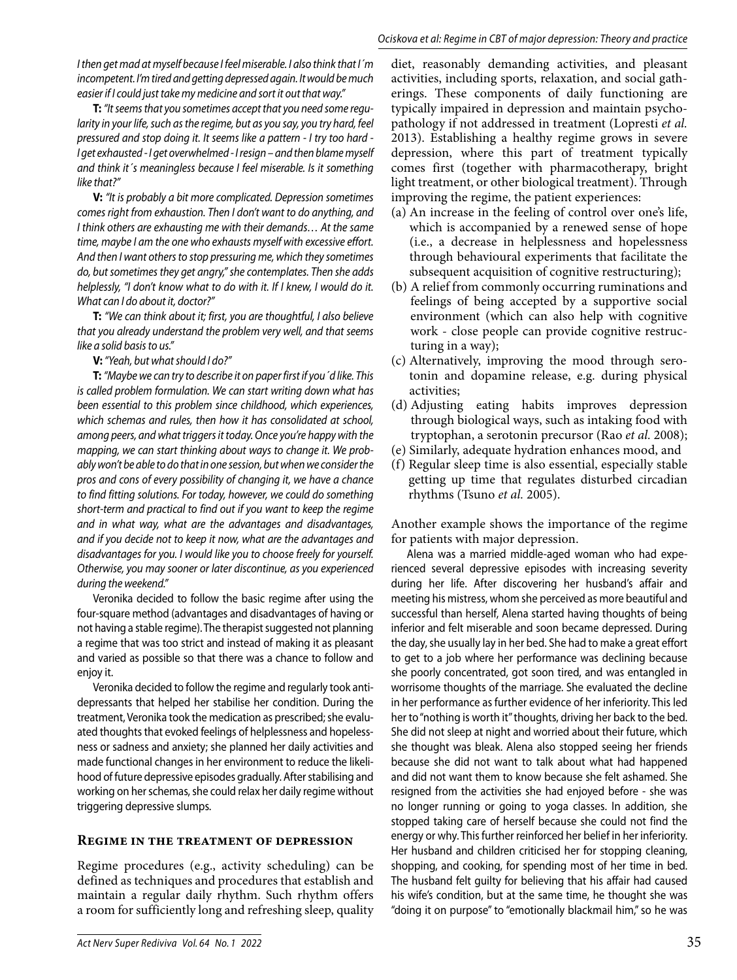I then get mad at myself because I feel miserable. I also think that I´m incompetent. I'm tired and getting depressed again. It would be much easier if I could just take my medicine and sort it out that way."

**T:** "It seems that you sometimes accept that you need some regularity in your life, such as the regime, but as you say, you try hard, feel pressured and stop doing it. It seems like a pattern - I try too hard - I get exhausted - I get overwhelmed - I resign – and then blame myself and think it´s meaningless because I feel miserable. Is it something like that?"

**V:** "It is probably a bit more complicated. Depression sometimes comes right from exhaustion. Then I don't want to do anything, and I think others are exhausting me with their demands… At the same time, maybe I am the one who exhausts myself with excessive effort. And then I want others to stop pressuring me, which they sometimes do, but sometimes they get angry," she contemplates. Then she adds helplessly, "I don't know what to do with it. If I knew, I would do it. What can I do about it, doctor?"

**T:** "We can think about it; first, you are thoughtful, I also believe that you already understand the problem very well, and that seems like a solid basis to us."

**V:** "Yeah, but what should I do?"

**T:** "Maybe we can try to describe it on paper first if you´d like. This is called problem formulation. We can start writing down what has been essential to this problem since childhood, which experiences, which schemas and rules, then how it has consolidated at school, among peers, and what triggers it today. Once you're happy with the mapping, we can start thinking about ways to change it. We probably won't be able to do that in one session, but when we consider the pros and cons of every possibility of changing it, we have a chance to find fitting solutions. For today, however, we could do something short-term and practical to find out if you want to keep the regime and in what way, what are the advantages and disadvantages, and if you decide not to keep it now, what are the advantages and disadvantages for you. I would like you to choose freely for yourself. Otherwise, you may sooner or later discontinue, as you experienced during the weekend."

Veronika decided to follow the basic regime after using the four-square method (advantages and disadvantages of having or not having a stable regime). The therapist suggested not planning a regime that was too strict and instead of making it as pleasant and varied as possible so that there was a chance to follow and enjoy it.

Veronika decided to follow the regime and regularly took antidepressants that helped her stabilise her condition. During the treatment, Veronika took the medication as prescribed; she evaluated thoughts that evoked feelings of helplessness and hopelessness or sadness and anxiety; she planned her daily activities and made functional changes in her environment to reduce the likelihood of future depressive episodes gradually. After stabilising and working on her schemas, she could relax her daily regime without triggering depressive slumps.

## **Regime in the treatment of depression**

Regime procedures (e.g., activity scheduling) can be defined as techniques and procedures that establish and maintain a regular daily rhythm. Such rhythm offers a room for sufficiently long and refreshing sleep, quality

diet, reasonably demanding activities, and pleasant activities, including sports, relaxation, and social gatherings. These components of daily functioning are typically impaired in depression and maintain psychopathology if not addressed in treatment (Lopresti *et al.* 2013). Establishing a healthy regime grows in severe depression, where this part of treatment typically comes first (together with pharmacotherapy, bright light treatment, or other biological treatment). Through improving the regime, the patient experiences:

- (a) An increase in the feeling of control over one's life, which is accompanied by a renewed sense of hope (i.e., a decrease in helplessness and hopelessness through behavioural experiments that facilitate the subsequent acquisition of cognitive restructuring);
- (b) A relief from commonly occurring ruminations and feelings of being accepted by a supportive social environment (which can also help with cognitive work - close people can provide cognitive restructuring in a way);
- (c) Alternatively, improving the mood through serotonin and dopamine release, e.g. during physical activities;
- (d) Adjusting eating habits improves depression through biological ways, such as intaking food with tryptophan, a serotonin precursor (Rao *et al.* 2008);
- (e) Similarly, adequate hydration enhances mood, and
- (f) Regular sleep time is also essential, especially stable getting up time that regulates disturbed circadian rhythms (Tsuno *et al.* 2005).

Another example shows the importance of the regime for patients with major depression.

Alena was a married middle-aged woman who had experienced several depressive episodes with increasing severity during her life. After discovering her husband's affair and meeting his mistress, whom she perceived as more beautiful and successful than herself, Alena started having thoughts of being inferior and felt miserable and soon became depressed. During the day, she usually lay in her bed. She had to make a great effort to get to a job where her performance was declining because she poorly concentrated, got soon tired, and was entangled in worrisome thoughts of the marriage. She evaluated the decline in her performance as further evidence of her inferiority. This led her to "nothing is worth it" thoughts, driving her back to the bed. She did not sleep at night and worried about their future, which she thought was bleak. Alena also stopped seeing her friends because she did not want to talk about what had happened and did not want them to know because she felt ashamed. She resigned from the activities she had enjoyed before - she was no longer running or going to yoga classes. In addition, she stopped taking care of herself because she could not find the energy or why. This further reinforced her belief in her inferiority. Her husband and children criticised her for stopping cleaning, shopping, and cooking, for spending most of her time in bed. The husband felt guilty for believing that his affair had caused his wife's condition, but at the same time, he thought she was "doing it on purpose" to "emotionally blackmail him," so he was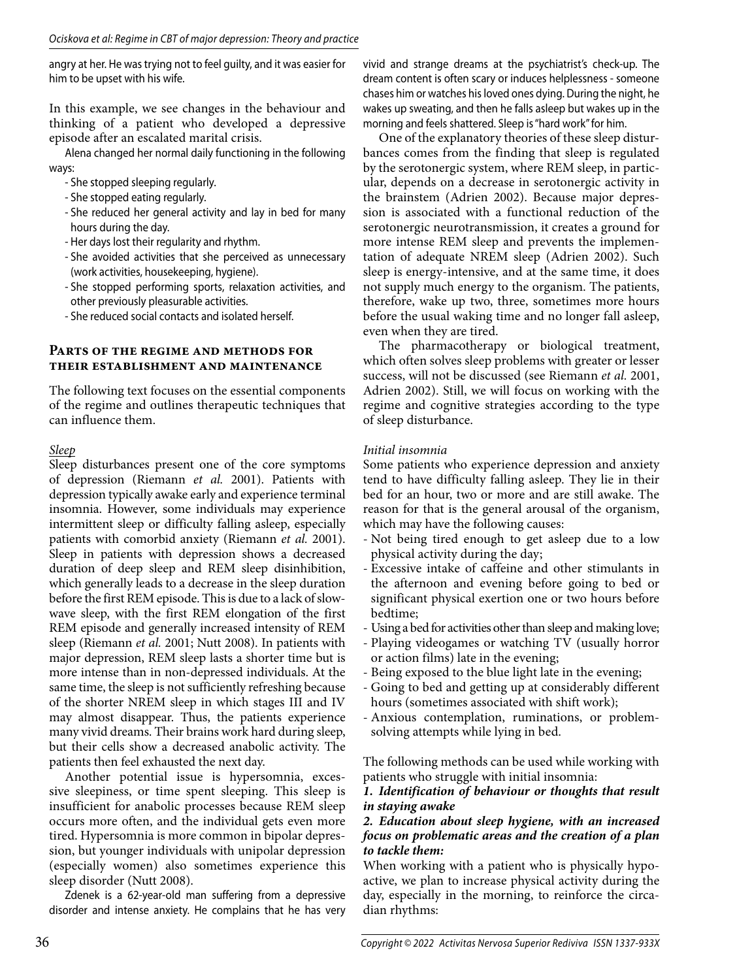angry at her. He was trying not to feel guilty, and it was easier for him to be upset with his wife.

In this example, we see changes in the behaviour and thinking of a patient who developed a depressive episode after an escalated marital crisis.

Alena changed her normal daily functioning in the following ways:

- She stopped sleeping regularly.
- She stopped eating regularly.
- She reduced her general activity and lay in bed for many hours during the day.
- Her days lost their regularity and rhythm.
- She avoided activities that she perceived as unnecessary (work activities, housekeeping, hygiene).
- She stopped performing sports, relaxation activities, and other previously pleasurable activities.
- She reduced social contacts and isolated herself.

#### **Parts of the regime and methods for their establishment and maintenance**

The following text focuses on the essential components of the regime and outlines therapeutic techniques that can influence them.

## *Sleep*

Sleep disturbances present one of the core symptoms of depression (Riemann *et al.* 2001). Patients with depression typically awake early and experience terminal insomnia. However, some individuals may experience intermittent sleep or difficulty falling asleep, especially patients with comorbid anxiety (Riemann *et al.* 2001). Sleep in patients with depression shows a decreased duration of deep sleep and REM sleep disinhibition, which generally leads to a decrease in the sleep duration before the first REM episode. This is due to a lack of slowwave sleep, with the first REM elongation of the first REM episode and generally increased intensity of REM sleep (Riemann *et al.* 2001; Nutt 2008). In patients with major depression, REM sleep lasts a shorter time but is more intense than in non-depressed individuals. At the same time, the sleep is not sufficiently refreshing because of the shorter NREM sleep in which stages III and IV may almost disappear. Thus, the patients experience many vivid dreams. Their brains work hard during sleep, but their cells show a decreased anabolic activity. The patients then feel exhausted the next day.

Another potential issue is hypersomnia, excessive sleepiness, or time spent sleeping. This sleep is insufficient for anabolic processes because REM sleep occurs more often, and the individual gets even more tired. Hypersomnia is more common in bipolar depression, but younger individuals with unipolar depression (especially women) also sometimes experience this sleep disorder (Nutt 2008).

Zdenek is a 62-year-old man suffering from a depressive disorder and intense anxiety. He complains that he has very

vivid and strange dreams at the psychiatrist's check-up. The dream content is often scary or induces helplessness - someone chases him or watches his loved ones dying. During the night, he wakes up sweating, and then he falls asleep but wakes up in the morning and feels shattered. Sleep is "hard work" for him.

One of the explanatory theories of these sleep disturbances comes from the finding that sleep is regulated by the serotonergic system, where REM sleep, in particular, depends on a decrease in serotonergic activity in the brainstem (Adrien 2002). Because major depression is associated with a functional reduction of the serotonergic neurotransmission, it creates a ground for more intense REM sleep and prevents the implementation of adequate NREM sleep (Adrien 2002). Such sleep is energy-intensive, and at the same time, it does not supply much energy to the organism. The patients, therefore, wake up two, three, sometimes more hours before the usual waking time and no longer fall asleep, even when they are tired.

The pharmacotherapy or biological treatment, which often solves sleep problems with greater or lesser success, will not be discussed (see Riemann *et al.* 2001, Adrien 2002). Still, we will focus on working with the regime and cognitive strategies according to the type of sleep disturbance.

## *Initial insomnia*

Some patients who experience depression and anxiety tend to have difficulty falling asleep. They lie in their bed for an hour, two or more and are still awake. The reason for that is the general arousal of the organism, which may have the following causes:

- Not being tired enough to get asleep due to a low physical activity during the day;
- Excessive intake of caffeine and other stimulants in the afternoon and evening before going to bed or significant physical exertion one or two hours before bedtime;
- Using a bed for activities other than sleep and making love;
- Playing videogames or watching TV (usually horror or action films) late in the evening;
- Being exposed to the blue light late in the evening;
- Going to bed and getting up at considerably different hours (sometimes associated with shift work);
- Anxious contemplation, ruminations, or problemsolving attempts while lying in bed.

The following methods can be used while working with patients who struggle with initial insomnia:

## *1. Identification of behaviour or thoughts that result in staying awake*

#### *2. Education about sleep hygiene, with an increased focus on problematic areas and the creation of a plan to tackle them:*

When working with a patient who is physically hypoactive, we plan to increase physical activity during the day, especially in the morning, to reinforce the circadian rhythms: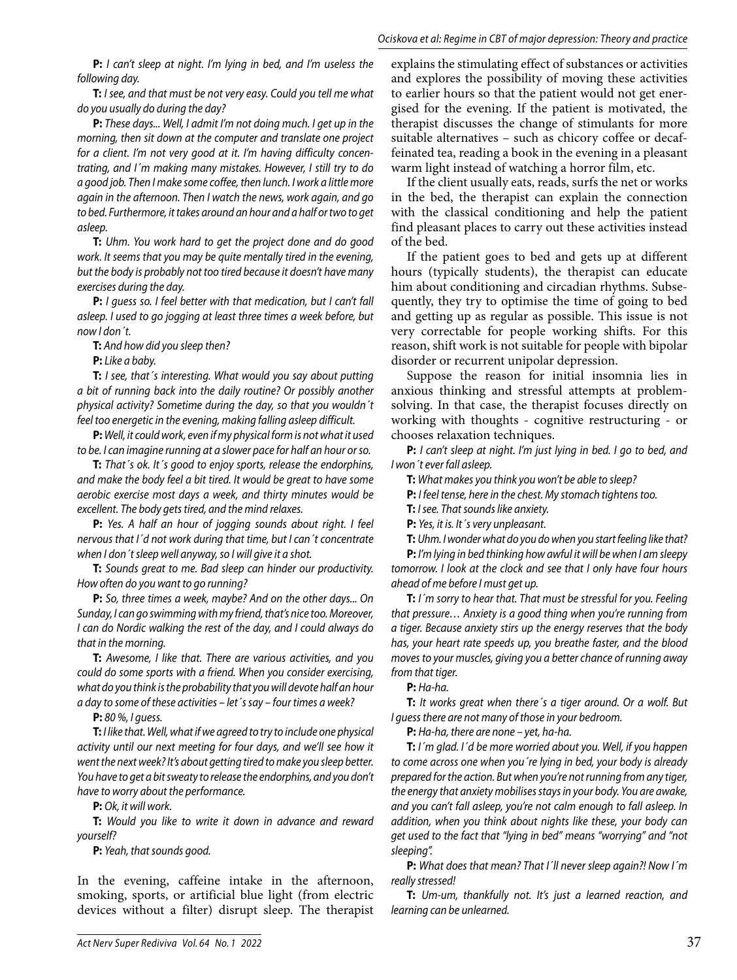**P:** I can't sleep at night. I'm lying in bed, and I'm useless the following day.

**T:** I see, and that must be not very easy. Could you tell me what do you usually do during the day?

**P:** These days... Well, I admit I'm not doing much. I get up in the morning, then sit down at the computer and translate one project for a client. I'm not very good at it. I'm having difficulty concentrating, and I´m making many mistakes. However, I still try to do a good job. Then I make some coffee, then lunch. I work a little more again in the afternoon. Then I watch the news, work again, and go to bed. Furthermore, it takes around an hour and a half or two to get asleep.

**T:** Uhm. You work hard to get the project done and do good work. It seems that you may be quite mentally tired in the evening, but the body is probably not too tired because it doesn't have many exercises during the day.

**P:** I guess so. I feel better with that medication, but I can't fall asleep. I used to go jogging at least three times a week before, but now I don´t.

**T:** And how did you sleep then?

**P:** Like a baby.

**T:** I see, that´s interesting. What would you say about putting a bit of running back into the daily routine? Or possibly another physical activity? Sometime during the day, so that you wouldn´t feel too energetic in the evening, making falling asleep difficult.

**P:** Well, it could work, even if my physical form is not what it used to be. I can imagine running at a slower pace for half an hour or so.

**T:** That's ok. It's good to enjoy sports, release the endorphins, and make the body feel a bit tired. It would be great to have some aerobic exercise most days a week, and thirty minutes would be excellent. The body gets tired, and the mind relaxes.

**P:** Yes. A half an hour of jogging sounds about right. I feel nervous that I´d not work during that time, but I can´t concentrate when I don't sleep well anyway, so I will give it a shot.

**T:** Sounds great to me. Bad sleep can hinder our productivity. How often do you want to go running?

**P:** So, three times a week, maybe? And on the other days... On Sunday, I can go swimming with my friend, that's nice too. Moreover, I can do Nordic walking the rest of the day, and I could always do that in the morning.

**T:** Awesome, I like that. There are various activities, and you could do some sports with a friend. When you consider exercising, what do you think is the probability that you will devote half an hour a day to some of these activities – let´s say – four times a week?

**P:** 80 %, I guess.

**T:** I like that. Well, what if we agreed to try to include one physical activity until our next meeting for four days, and we'll see how it went the next week? It's about getting tired to make you sleep better. You have to get a bit sweaty to release the endorphins, and you don't have to worry about the performance.

**P:** Ok, it will work.

**T:** Would you like to write it down in advance and reward yourself?

**P:** Yeah, that sounds good.

In the evening, caffeine intake in the afternoon, smoking, sports, or artificial blue light (from electric devices without a filter) disrupt sleep. The therapist

explains the stimulating effect of substances or activities and explores the possibility of moving these activities to earlier hours so that the patient would not get energised for the evening. If the patient is motivated, the therapist discusses the change of stimulants for more suitable alternatives – such as chicory coffee or decaffeinated tea, reading a book in the evening in a pleasant warm light instead of watching a horror film, etc.

If the client usually eats, reads, surfs the net or works in the bed, the therapist can explain the connection with the classical conditioning and help the patient find pleasant places to carry out these activities instead of the bed.

If the patient goes to bed and gets up at different hours (typically students), the therapist can educate him about conditioning and circadian rhythms. Subsequently, they try to optimise the time of going to bed and getting up as regular as possible. This issue is not very correctable for people working shifts. For this reason, shift work is not suitable for people with bipolar disorder or recurrent unipolar depression.

Suppose the reason for initial insomnia lies in anxious thinking and stressful attempts at problemsolving. In that case, the therapist focuses directly on working with thoughts - cognitive restructuring - or chooses relaxation techniques.

**P:** I can't sleep at night. I'm just lying in bed. I go to bed, and I won´t ever fall asleep.

**T:** What makes you think you won't be able to sleep?

**P:** I feel tense, here in the chest. My stomach tightens too.

**T:** I see. That sounds like anxiety.

**P:** Yes, it is. It´s very unpleasant.

**T:** Uhm. I wonder what do you do when you start feeling like that?

**P:** I'm lying in bed thinking how awful it will be when I am sleepy tomorrow. I look at the clock and see that I only have four hours ahead of me before I must get up.

**T:** I´m sorry to hear that. That must be stressful for you. Feeling that pressure… Anxiety is a good thing when you're running from a tiger. Because anxiety stirs up the energy reserves that the body has, your heart rate speeds up, you breathe faster, and the blood moves to your muscles, giving you a better chance of running away from that tiger.

**P:** Ha-ha.

**T:** It works great when there´s a tiger around. Or a wolf. But I guess there are not many of those in your bedroom.

**P:** Ha-ha, there are none – yet, ha-ha.

**T:** I´m glad. I´d be more worried about you. Well, if you happen to come across one when you´re lying in bed, your body is already prepared for the action. But when you're not running from any tiger, the energy that anxiety mobilises stays in your body. You are awake, and you can't fall asleep, you're not calm enough to fall asleep. In addition, when you think about nights like these, your body can get used to the fact that "lying in bed" means "worrying" and "not sleeping".

**P:** What does that mean? That I´ll never sleep again?! Now I´m really stressed!

**T:** Um-um, thankfully not. It's just a learned reaction, and learning can be unlearned.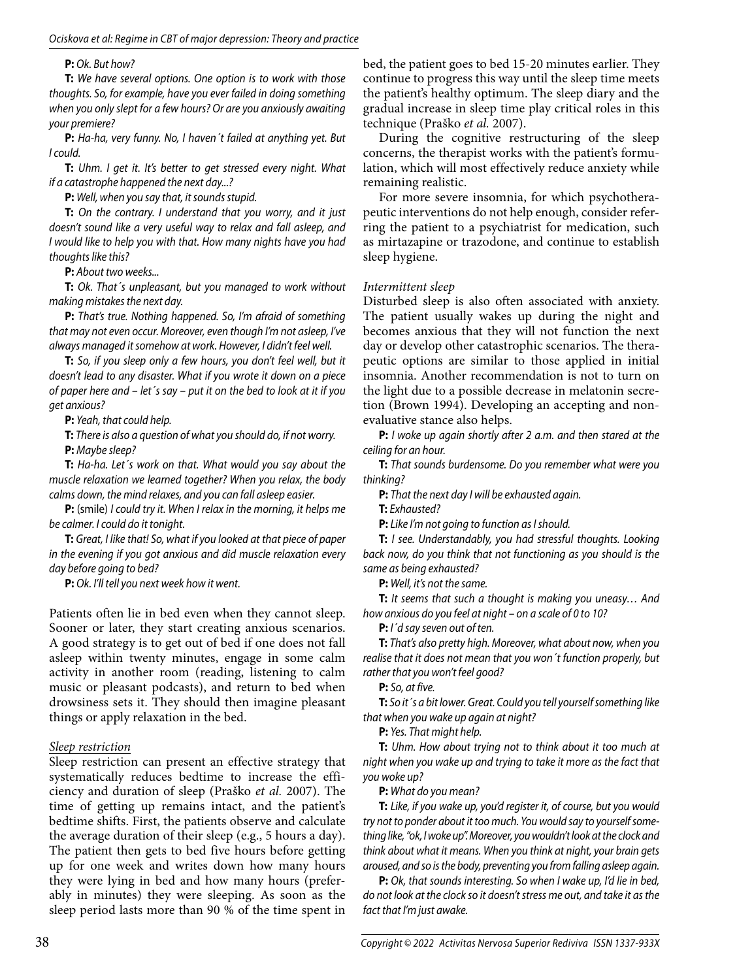### **P:** Ok. But how?

**T:** We have several options. One option is to work with those thoughts. So, for example, have you ever failed in doing something when you only slept for a few hours? Or are you anxiously awaiting your premiere?

**P:** Ha-ha, very funny. No, I haven´t failed at anything yet. But I could.

**T:** Uhm. I get it. It's better to get stressed every night. What if a catastrophe happened the next day...?

**P:** Well, when you say that, it sounds stupid.

**T:** On the contrary. I understand that you worry, and it just doesn't sound like a very useful way to relax and fall asleep, and I would like to help you with that. How many nights have you had thoughts like this?

**P:** About two weeks...

**T:** Ok. That´s unpleasant, but you managed to work without making mistakes the next day.

**P:** That's true. Nothing happened. So, I'm afraid of something that may not even occur. Moreover, even though I'm not asleep, I've always managed it somehow at work. However, I didn't feel well.

**T:** So, if you sleep only a few hours, you don't feel well, but it doesn't lead to any disaster. What if you wrote it down on a piece of paper here and – let´s say – put it on the bed to look at it if you get anxious?

**P:** Yeah, that could help.

**T:** There is also a question of what you should do, if not worry. **P:** Maybe sleep?

**T:** Ha-ha. Let´s work on that. What would you say about the muscle relaxation we learned together? When you relax, the body calms down, the mind relaxes, and you can fall asleep easier.

**P:** (smile) I could try it. When I relax in the morning, it helps me be calmer. I could do it tonight.

**T:** Great, I like that! So, what if you looked at that piece of paper in the evening if you got anxious and did muscle relaxation every day before going to bed?

**P:** Ok. I'll tell you next week how it went.

Patients often lie in bed even when they cannot sleep. Sooner or later, they start creating anxious scenarios. A good strategy is to get out of bed if one does not fall asleep within twenty minutes, engage in some calm activity in another room (reading, listening to calm music or pleasant podcasts), and return to bed when drowsiness sets it. They should then imagine pleasant things or apply relaxation in the bed.

## *Sleep restriction*

Sleep restriction can present an effective strategy that systematically reduces bedtime to increase the efficiency and duration of sleep (Praško *et al.* 2007). The time of getting up remains intact, and the patient's bedtime shifts. First, the patients observe and calculate the average duration of their sleep (e.g., 5 hours a day). The patient then gets to bed five hours before getting up for one week and writes down how many hours they were lying in bed and how many hours (preferably in minutes) they were sleeping. As soon as the sleep period lasts more than 90 % of the time spent in

bed, the patient goes to bed 15-20 minutes earlier. They continue to progress this way until the sleep time meets the patient's healthy optimum. The sleep diary and the gradual increase in sleep time play critical roles in this technique (Praško *et al.* 2007).

During the cognitive restructuring of the sleep concerns, the therapist works with the patient's formulation, which will most effectively reduce anxiety while remaining realistic.

For more severe insomnia, for which psychotherapeutic interventions do not help enough, consider referring the patient to a psychiatrist for medication, such as mirtazapine or trazodone, and continue to establish sleep hygiene.

### *Intermittent sleep*

Disturbed sleep is also often associated with anxiety. The patient usually wakes up during the night and becomes anxious that they will not function the next day or develop other catastrophic scenarios. The therapeutic options are similar to those applied in initial insomnia. Another recommendation is not to turn on the light due to a possible decrease in melatonin secretion (Brown 1994). Developing an accepting and nonevaluative stance also helps.

**P:** I woke up again shortly after 2 a.m. and then stared at the ceiling for an hour.

**T:** That sounds burdensome. Do you remember what were you thinking?

**P:** That the next day I will be exhausted again.

**T:** Exhausted?

**P:** Like I'm not going to function as I should.

**T:** I see. Understandably, you had stressful thoughts. Looking back now, do you think that not functioning as you should is the same as being exhausted?

**P:** Well, it's not the same.

**T:** It seems that such a thought is making you uneasy… And how anxious do you feel at night – on a scale of 0 to 10?

**P:** I´d say seven out of ten.

**T:** That's also pretty high. Moreover, what about now, when you realise that it does not mean that you won´t function properly, but rather that you won't feel good?

**P:** So, at five.

**T:** So it´s a bit lower. Great. Could you tell yourself something like that when you wake up again at night?

**P:** Yes. That might help.

**T:** Uhm. How about trying not to think about it too much at night when you wake up and trying to take it more as the fact that you woke up?

**P:** What do you mean?

**T:** Like, if you wake up, you'd register it, of course, but you would try not to ponder about it too much. You would say to yourself something like, "ok, I woke up". Moreover, you wouldn't look at the clock and think about what it means. When you think at night, your brain gets aroused, and so is the body, preventing you from falling asleep again.

**P:** Ok, that sounds interesting. So when I wake up, I'd lie in bed, do not look at the clock so it doesn't stress me out, and take it as the fact that I'm just awake.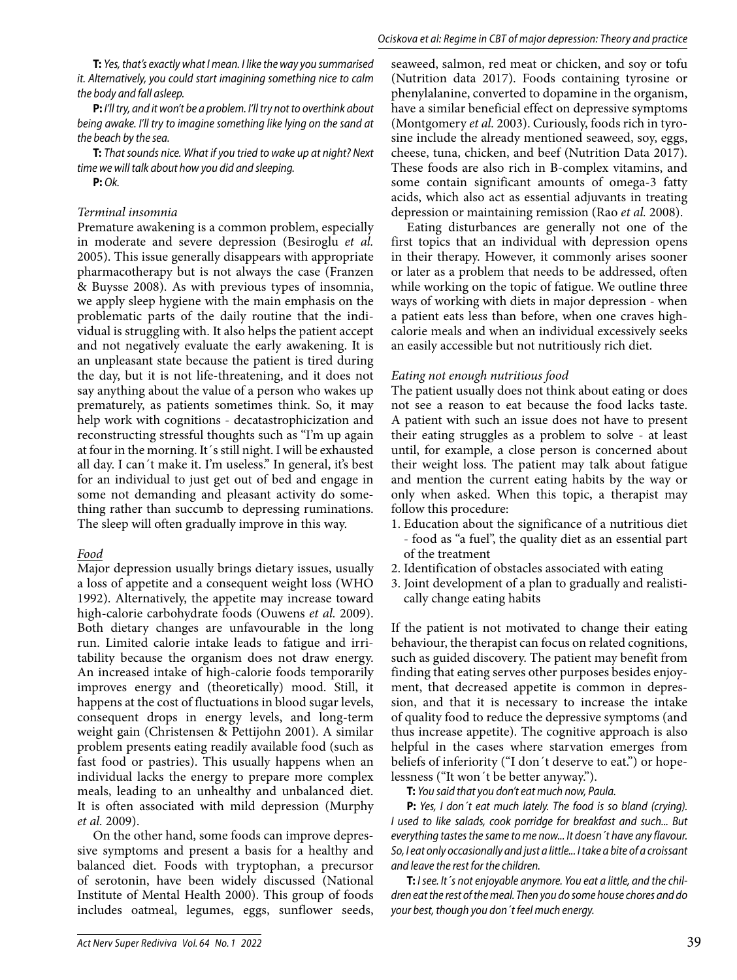**T:** Yes, that's exactly what I mean. I like the way you summarised it. Alternatively, you could start imagining something nice to calm the body and fall asleep.

**P:** I'll try, and it won't be a problem. I'll try not to overthink about being awake. I'll try to imagine something like lying on the sand at the beach by the sea.

**T:** That sounds nice. What if you tried to wake up at night? Next time we will talk about how you did and sleeping.

**P:** Ok.

### *Terminal insomnia*

Premature awakening is a common problem, especially in moderate and severe depression (Besiroglu *et al.* 2005). This issue generally disappears with appropriate pharmacotherapy but is not always the case (Franzen & Buysse 2008). As with previous types of insomnia, we apply sleep hygiene with the main emphasis on the problematic parts of the daily routine that the individual is struggling with. It also helps the patient accept and not negatively evaluate the early awakening. It is an unpleasant state because the patient is tired during the day, but it is not life-threatening, and it does not say anything about the value of a person who wakes up prematurely, as patients sometimes think. So, it may help work with cognitions - decatastrophicization and reconstructing stressful thoughts such as "I'm up again at four in the morning. It´s still night. I will be exhausted all day. I can´t make it. I'm useless." In general, it's best for an individual to just get out of bed and engage in some not demanding and pleasant activity do something rather than succumb to depressing ruminations. The sleep will often gradually improve in this way.

## *Food*

Major depression usually brings dietary issues, usually a loss of appetite and a consequent weight loss (WHO 1992). Alternatively, the appetite may increase toward high-calorie carbohydrate foods (Ouwens *et al.* 2009). Both dietary changes are unfavourable in the long run. Limited calorie intake leads to fatigue and irritability because the organism does not draw energy. An increased intake of high-calorie foods temporarily improves energy and (theoretically) mood. Still, it happens at the cost of fluctuations in blood sugar levels, consequent drops in energy levels, and long-term weight gain (Christensen & Pettijohn 2001). A similar problem presents eating readily available food (such as fast food or pastries). This usually happens when an individual lacks the energy to prepare more complex meals, leading to an unhealthy and unbalanced diet. It is often associated with mild depression (Murphy *et al.* 2009).

On the other hand, some foods can improve depressive symptoms and present a basis for a healthy and balanced diet. Foods with tryptophan, a precursor of serotonin, have been widely discussed (National Institute of Mental Health 2000). This group of foods includes oatmeal, legumes, eggs, sunflower seeds,

seaweed, salmon, red meat or chicken, and soy or tofu (Nutrition data 2017). Foods containing tyrosine or phenylalanine, converted to dopamine in the organism, have a similar beneficial effect on depressive symptoms (Montgomery *et al.* 2003). Curiously, foods rich in tyrosine include the already mentioned seaweed, soy, eggs, cheese, tuna, chicken, and beef (Nutrition Data 2017). These foods are also rich in B-complex vitamins, and some contain significant amounts of omega-3 fatty acids, which also act as essential adjuvants in treating depression or maintaining remission (Rao *et al.* 2008).

Eating disturbances are generally not one of the first topics that an individual with depression opens in their therapy. However, it commonly arises sooner or later as a problem that needs to be addressed, often while working on the topic of fatigue. We outline three ways of working with diets in major depression - when a patient eats less than before, when one craves highcalorie meals and when an individual excessively seeks an easily accessible but not nutritiously rich diet.

### *Eating not enough nutritious food*

The patient usually does not think about eating or does not see a reason to eat because the food lacks taste. A patient with such an issue does not have to present their eating struggles as a problem to solve - at least until, for example, a close person is concerned about their weight loss. The patient may talk about fatigue and mention the current eating habits by the way or only when asked. When this topic, a therapist may follow this procedure:

- 1. Education about the significance of a nutritious diet - food as "a fuel", the quality diet as an essential part of the treatment
- 2. Identification of obstacles associated with eating
- 3. Joint development of a plan to gradually and realistically change eating habits

If the patient is not motivated to change their eating behaviour, the therapist can focus on related cognitions, such as guided discovery. The patient may benefit from finding that eating serves other purposes besides enjoyment, that decreased appetite is common in depression, and that it is necessary to increase the intake of quality food to reduce the depressive symptoms (and thus increase appetite). The cognitive approach is also helpful in the cases where starvation emerges from beliefs of inferiority ("I don't deserve to eat.") or hopelessness ("It won´t be better anyway.").

**T:** You said that you don't eat much now, Paula.

**P:** Yes, I don´t eat much lately. The food is so bland (crying). I used to like salads, cook porridge for breakfast and such... But everything tastes the same to me now... It doesn´t have any flavour. So, I eat only occasionally and just a little... I take a bite of a croissant and leave the rest for the children.

**T:** I see. It's not enjoyable anymore. You eat a little, and the children eat the rest of the meal. Then you do some house chores and do your best, though you don´t feel much energy.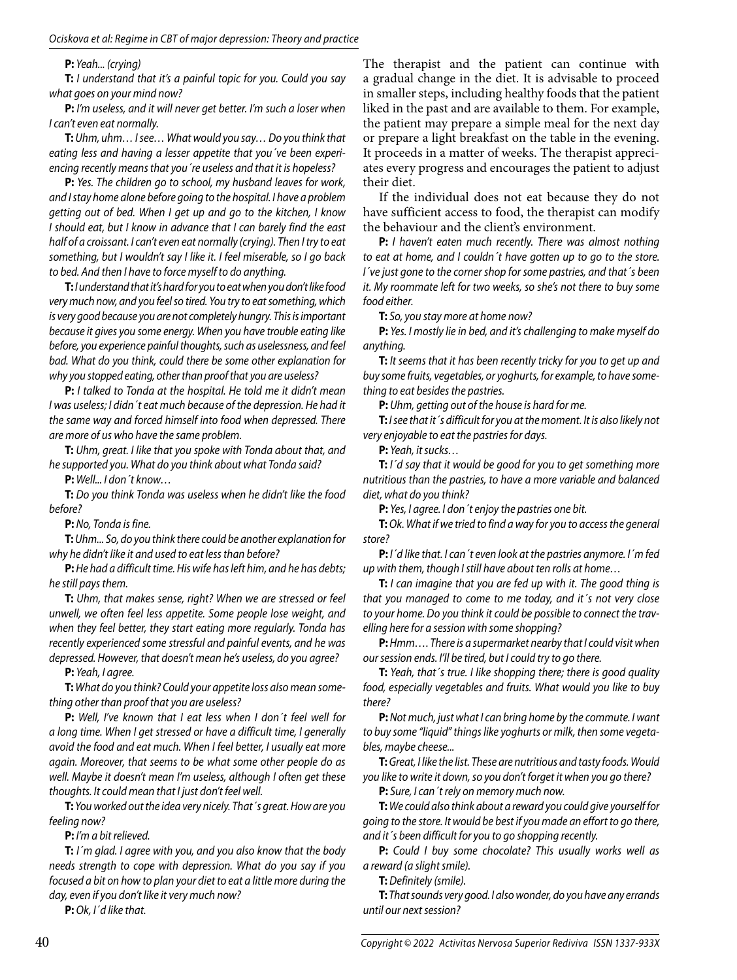#### **P:** Yeah... (crying)

**T:** I understand that it's a painful topic for you. Could you say what goes on your mind now?

**P:** I'm useless, and it will never get better. I'm such a loser when I can't even eat normally.

**T:** Uhm, uhm… I see… What would you say… Do you think that eating less and having a lesser appetite that you´ve been experiencing recently means that you´re useless and that it is hopeless?

**P:** Yes. The children go to school, my husband leaves for work, and I stay home alone before going to the hospital. I have a problem getting out of bed. When I get up and go to the kitchen, I know I should eat, but I know in advance that I can barely find the east half of a croissant. I can't even eat normally (crying). Then I try to eat something, but I wouldn't say I like it. I feel miserable, so I go back to bed. And then I have to force myself to do anything.

**T:** I understand that it's hard for you to eat when you don't like food very much now, and you feel so tired. You try to eat something, which is very good because you are not completely hungry. This is important because it gives you some energy. When you have trouble eating like before, you experience painful thoughts, such as uselessness, and feel bad. What do you think, could there be some other explanation for why you stopped eating, other than proof that you are useless?

**P:** I talked to Tonda at the hospital. He told me it didn't mean I was useless; I didn´t eat much because of the depression. He had it the same way and forced himself into food when depressed. There are more of us who have the same problem.

**T:** Uhm, great. I like that you spoke with Tonda about that, and he supported you. What do you think about what Tonda said?

**P:** Well... I don´t know…

**T:** Do you think Tonda was useless when he didn't like the food before?

**P:** No, Tonda is fine.

**T:** Uhm... So, do you think there could be another explanation for why he didn't like it and used to eat less than before?

**P:** He had a difficult time. His wife has left him, and he has debts; he still pays them.

**T:** Uhm, that makes sense, right? When we are stressed or feel unwell, we often feel less appetite. Some people lose weight, and when they feel better, they start eating more regularly. Tonda has recently experienced some stressful and painful events, and he was depressed. However, that doesn't mean he's useless, do you agree?

**P:** Yeah, I agree.

**T:** What do you think? Could your appetite loss also mean something other than proof that you are useless?

**P:** Well, I've known that I eat less when I don´t feel well for a long time. When I get stressed or have a difficult time, I generally avoid the food and eat much. When I feel better, I usually eat more again. Moreover, that seems to be what some other people do as well. Maybe it doesn't mean I'm useless, although I often get these thoughts. It could mean that I just don't feel well.

**T:** You worked out the idea very nicely. That´s great. How are you feeling now?

**P:** I'm a bit relieved.

**T:** I´m glad. I agree with you, and you also know that the body needs strength to cope with depression. What do you say if you focused a bit on how to plan your diet to eat a little more during the day, even if you don't like it very much now?

**P:** Ok, I´d like that.

The therapist and the patient can continue with a gradual change in the diet. It is advisable to proceed in smaller steps, including healthy foods that the patient liked in the past and are available to them. For example, the patient may prepare a simple meal for the next day or prepare a light breakfast on the table in the evening. It proceeds in a matter of weeks. The therapist appreciates every progress and encourages the patient to adjust their diet.

If the individual does not eat because they do not have sufficient access to food, the therapist can modify the behaviour and the client's environment.

**P:** I haven't eaten much recently. There was almost nothing to eat at home, and I couldn´t have gotten up to go to the store. I´ve just gone to the corner shop for some pastries, and that´s been it. My roommate left for two weeks, so she's not there to buy some food either.

**T:** So, you stay more at home now?

**P:** Yes. I mostly lie in bed, and it's challenging to make myself do anything.

**T:** It seems that it has been recently tricky for you to get up and buy some fruits, vegetables, or yoghurts, for example, to have something to eat besides the pastries.

**P:** Uhm, getting out of the house is hard for me.

**T:** I see that it´s difficult for you at the moment. It is also likely not very enjoyable to eat the pastries for days.

**P:** Yeah, it sucks…

**T:** I´d say that it would be good for you to get something more nutritious than the pastries, to have a more variable and balanced diet, what do you think?

**P:** Yes, I agree. I don´t enjoy the pastries one bit.

**T:** Ok. What if we tried to find a way for you to access the general store?

**P:** I´d like that. I can´t even look at the pastries anymore. I´m fed up with them, though I still have about ten rolls at home…

**T:** I can imagine that you are fed up with it. The good thing is that you managed to come to me today, and it´s not very close to your home. Do you think it could be possible to connect the travelling here for a session with some shopping?

**P:** Hmm…. There is a supermarket nearby that I could visit when our session ends. I'll be tired, but I could try to go there.

**T:** Yeah, that's true. I like shopping there; there is good quality food, especially vegetables and fruits. What would you like to buy there?

**P:** Not much, just what I can bring home by the commute. I want to buy some "liquid" things like yoghurts or milk, then some vegetables, maybe cheese...

**T:** Great, I like the list. These are nutritious and tasty foods. Would you like to write it down, so you don't forget it when you go there? **P:** Sure, I can't rely on memory much now.

**T:** We could also think about a reward you could give yourself for

going to the store. It would be best if you made an effort to go there, and it's been difficult for you to go shopping recently.

**P:** Could I buy some chocolate? This usually works well as a reward (a slight smile).

**T:** Definitely (smile).

**T:** That sounds very good. I also wonder, do you have any errands until our next session?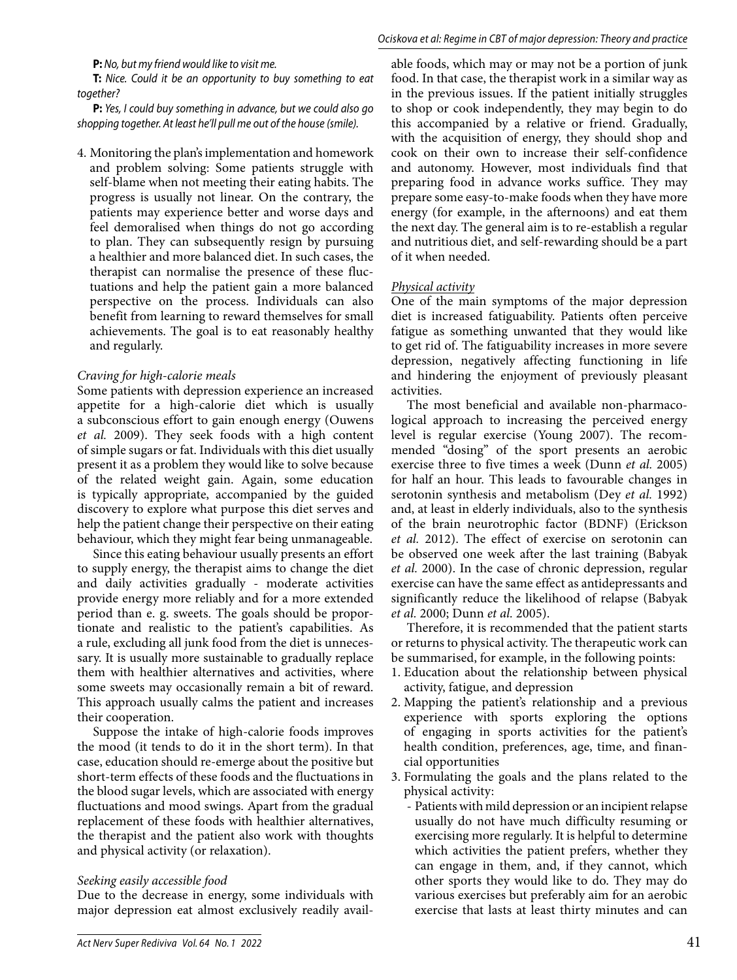**P:** No, but my friend would like to visit me.

**T:** Nice. Could it be an opportunity to buy something to eat together?

**P:** Yes, I could buy something in advance, but we could also go shopping together. At least he'll pull me out of the house (smile).

4. Monitoring the plan's implementation and homework and problem solving: Some patients struggle with self-blame when not meeting their eating habits. The progress is usually not linear. On the contrary, the patients may experience better and worse days and feel demoralised when things do not go according to plan. They can subsequently resign by pursuing a healthier and more balanced diet. In such cases, the therapist can normalise the presence of these fluctuations and help the patient gain a more balanced perspective on the process. Individuals can also benefit from learning to reward themselves for small achievements. The goal is to eat reasonably healthy and regularly.

### *Craving for high-calorie meals*

Some patients with depression experience an increased appetite for a high-calorie diet which is usually a subconscious effort to gain enough energy (Ouwens *et al.* 2009). They seek foods with a high content of simple sugars or fat. Individuals with this diet usually present it as a problem they would like to solve because of the related weight gain. Again, some education is typically appropriate, accompanied by the guided discovery to explore what purpose this diet serves and help the patient change their perspective on their eating behaviour, which they might fear being unmanageable.

Since this eating behaviour usually presents an effort to supply energy, the therapist aims to change the diet and daily activities gradually - moderate activities provide energy more reliably and for a more extended period than e. g. sweets. The goals should be proportionate and realistic to the patient's capabilities. As a rule, excluding all junk food from the diet is unnecessary. It is usually more sustainable to gradually replace them with healthier alternatives and activities, where some sweets may occasionally remain a bit of reward. This approach usually calms the patient and increases their cooperation.

Suppose the intake of high-calorie foods improves the mood (it tends to do it in the short term). In that case, education should re-emerge about the positive but short-term effects of these foods and the fluctuations in the blood sugar levels, which are associated with energy fluctuations and mood swings. Apart from the gradual replacement of these foods with healthier alternatives, the therapist and the patient also work with thoughts and physical activity (or relaxation).

## *Seeking easily accessible food*

Due to the decrease in energy, some individuals with major depression eat almost exclusively readily available foods, which may or may not be a portion of junk food. In that case, the therapist work in a similar way as in the previous issues. If the patient initially struggles to shop or cook independently, they may begin to do this accompanied by a relative or friend. Gradually, with the acquisition of energy, they should shop and cook on their own to increase their self-confidence and autonomy. However, most individuals find that preparing food in advance works suffice. They may prepare some easy-to-make foods when they have more energy (for example, in the afternoons) and eat them the next day. The general aim is to re-establish a regular and nutritious diet, and self-rewarding should be a part of it when needed.

## *Physical activity*

One of the main symptoms of the major depression diet is increased fatiguability. Patients often perceive fatigue as something unwanted that they would like to get rid of. The fatiguability increases in more severe depression, negatively affecting functioning in life and hindering the enjoyment of previously pleasant activities.

The most beneficial and available non-pharmacological approach to increasing the perceived energy level is regular exercise (Young 2007). The recommended "dosing" of the sport presents an aerobic exercise three to five times a week (Dunn *et al.* 2005) for half an hour. This leads to favourable changes in serotonin synthesis and metabolism (Dey *et al.* 1992) and, at least in elderly individuals, also to the synthesis of the brain neurotrophic factor (BDNF) (Erickson *et al.* 2012). The effect of exercise on serotonin can be observed one week after the last training (Babyak *et al.* 2000). In the case of chronic depression, regular exercise can have the same effect as antidepressants and significantly reduce the likelihood of relapse (Babyak *et al.* 2000; Dunn *et al.* 2005).

Therefore, it is recommended that the patient starts or returns to physical activity. The therapeutic work can be summarised, for example, in the following points:

- 1. Education about the relationship between physical activity, fatigue, and depression
- 2. Mapping the patient's relationship and a previous experience with sports exploring the options of engaging in sports activities for the patient's health condition, preferences, age, time, and financial opportunities
- 3. Formulating the goals and the plans related to the physical activity:
	- Patients with mild depression or an incipient relapse usually do not have much difficulty resuming or exercising more regularly. It is helpful to determine which activities the patient prefers, whether they can engage in them, and, if they cannot, which other sports they would like to do. They may do various exercises but preferably aim for an aerobic exercise that lasts at least thirty minutes and can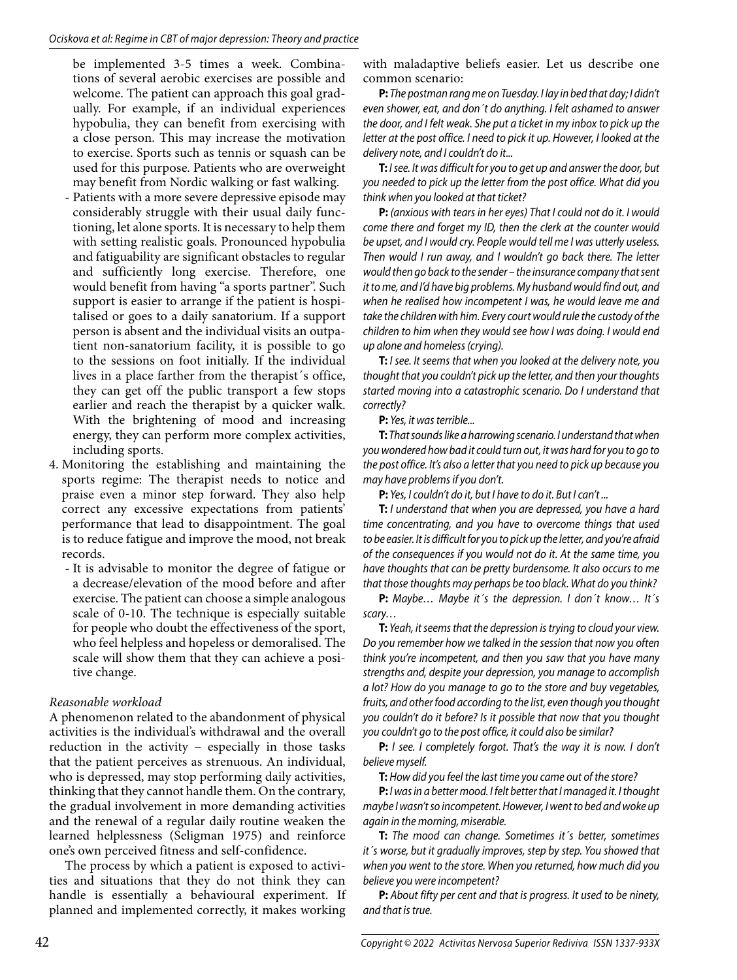be implemented 3-5 times a week. Combinations of several aerobic exercises are possible and welcome. The patient can approach this goal gradually. For example, if an individual experiences hypobulia, they can benefit from exercising with a close person. This may increase the motivation to exercise. Sports such as tennis or squash can be used for this purpose. Patients who are overweight may benefit from Nordic walking or fast walking.

- Patients with a more severe depressive episode may considerably struggle with their usual daily functioning, let alone sports. It is necessary to help them with setting realistic goals. Pronounced hypobulia and fatiguability are significant obstacles to regular and sufficiently long exercise. Therefore, one would benefit from having "a sports partner". Such support is easier to arrange if the patient is hospitalised or goes to a daily sanatorium. If a support person is absent and the individual visits an outpatient non-sanatorium facility, it is possible to go to the sessions on foot initially. If the individual lives in a place farther from the therapist´s office, they can get off the public transport a few stops earlier and reach the therapist by a quicker walk. With the brightening of mood and increasing energy, they can perform more complex activities, including sports.
- 4. Monitoring the establishing and maintaining the sports regime: The therapist needs to notice and praise even a minor step forward. They also help correct any excessive expectations from patients' performance that lead to disappointment. The goal is to reduce fatigue and improve the mood, not break records.
	- It is advisable to monitor the degree of fatigue or a decrease/elevation of the mood before and after exercise. The patient can choose a simple analogous scale of 0-10. The technique is especially suitable for people who doubt the effectiveness of the sport, who feel helpless and hopeless or demoralised. The scale will show them that they can achieve a positive change.

## *Reasonable workload*

A phenomenon related to the abandonment of physical activities is the individual's withdrawal and the overall reduction in the activity – especially in those tasks that the patient perceives as strenuous. An individual, who is depressed, may stop performing daily activities, thinking that they cannot handle them. On the contrary, the gradual involvement in more demanding activities and the renewal of a regular daily routine weaken the learned helplessness (Seligman 1975) and reinforce one's own perceived fitness and self-confidence.

The process by which a patient is exposed to activities and situations that they do not think they can handle is essentially a behavioural experiment. If planned and implemented correctly, it makes working

with maladaptive beliefs easier. Let us describe one common scenario:

**P:** The postman rang me on Tuesday. I lay in bed that day; I didn't even shower, eat, and don´t do anything. I felt ashamed to answer the door, and I felt weak. She put a ticket in my inbox to pick up the letter at the post office. I need to pick it up. However, I looked at the delivery note, and I couldn't do it...

**T:** I see. It was difficult for you to get up and answer the door, but you needed to pick up the letter from the post office. What did you think when you looked at that ticket?

**P:** (anxious with tears in her eyes) That I could not do it. I would come there and forget my ID, then the clerk at the counter would be upset, and I would cry. People would tell me I was utterly useless. Then would I run away, and I wouldn't go back there. The letter would then go back to the sender – the insurance company that sent it to me, and I'd have big problems. My husband would find out, and when he realised how incompetent I was, he would leave me and take the children with him. Every court would rule the custody of the children to him when they would see how I was doing. I would end up alone and homeless (crying).

**T:** I see. It seems that when you looked at the delivery note, you thought that you couldn't pick up the letter, and then your thoughts started moving into a catastrophic scenario. Do I understand that correctly?

**P:** Yes, it was terrible...

**T:** That sounds like a harrowing scenario. I understand that when you wondered how bad it could turn out, it was hard for you to go to the post office. It's also a letter that you need to pick up because you may have problems if you don't.

**P:** Yes, I couldn't do it, but I have to do it. But I can't ...

**T:** I understand that when you are depressed, you have a hard time concentrating, and you have to overcome things that used to be easier. It is difficult for you to pick up the letter, and you're afraid of the consequences if you would not do it. At the same time, you have thoughts that can be pretty burdensome. It also occurs to me that those thoughts may perhaps be too black. What do you think?

**P:** Maybe… Maybe it´s the depression. I don´t know… It´s scary…

**T:** Yeah, it seems that the depression is trying to cloud your view. Do you remember how we talked in the session that now you often think you're incompetent, and then you saw that you have many strengths and, despite your depression, you manage to accomplish a lot? How do you manage to go to the store and buy vegetables, fruits, and other food according to the list, even though you thought you couldn't do it before? Is it possible that now that you thought you couldn't go to the post office, it could also be similar?

**P:** I see. I completely forgot. That's the way it is now. I don't believe myself.

**T:** How did you feel the last time you came out of the store?

**P:** I was in a better mood. I felt better that I managed it. I thought maybe I wasn't so incompetent. However, I went to bed and woke up again in the morning, miserable.

**T:** The mood can change. Sometimes it´s better, sometimes it´s worse, but it gradually improves, step by step. You showed that when you went to the store. When you returned, how much did you believe you were incompetent?

**P:** About fifty per cent and that is progress. It used to be ninety, and that is true.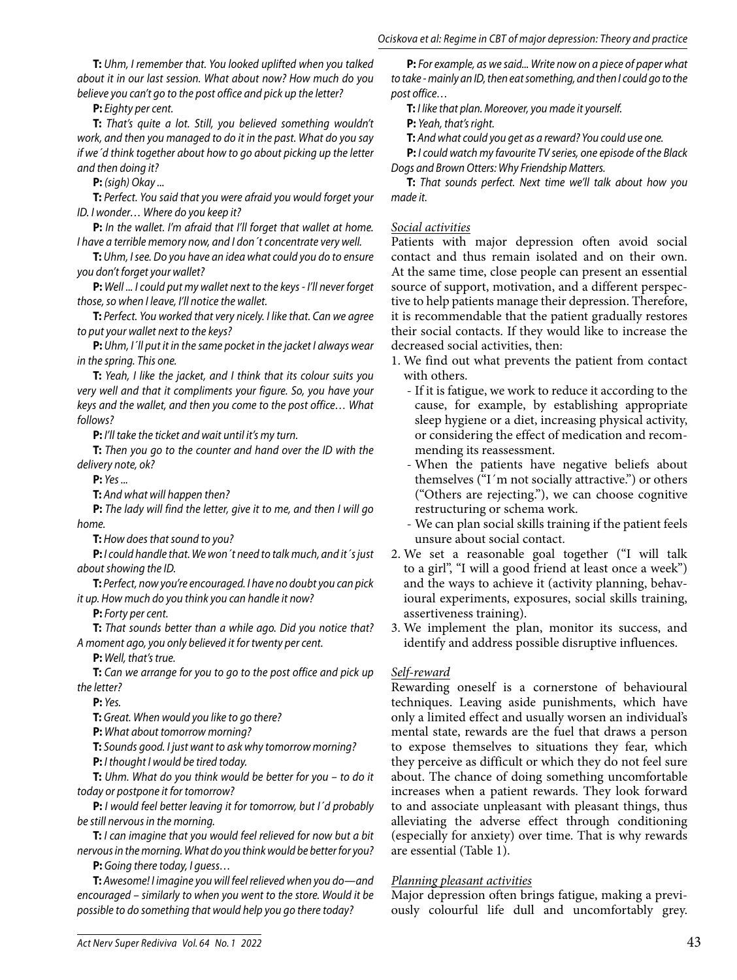**T:** Uhm, I remember that. You looked uplifted when you talked about it in our last session. What about now? How much do you believe you can't go to the post office and pick up the letter?

**P:** Eighty per cent.

**T:** That's quite a lot. Still, you believed something wouldn't work, and then you managed to do it in the past. What do you say if we´d think together about how to go about picking up the letter and then doing it?

**P:** (sigh) Okay ...

**T:** Perfect. You said that you were afraid you would forget your ID. I wonder… Where do you keep it?

**P:** In the wallet. I'm afraid that I'll forget that wallet at home. I have a terrible memory now, and I don´t concentrate very well.

**T:** Uhm, I see. Do you have an idea what could you do to ensure you don't forget your wallet?

**P:** Well ... I could put my wallet next to the keys - I'll never forget those, so when I leave, I'll notice the wallet.

**T:** Perfect. You worked that very nicely. I like that. Can we agree to put your wallet next to the keys?

**P:** Uhm, I'll put it in the same pocket in the jacket I always wear in the spring. This one.

**T:** Yeah, I like the jacket, and I think that its colour suits you very well and that it compliments your figure. So, you have your keys and the wallet, and then you come to the post office… What follows?

**P:** I'll take the ticket and wait until it's my turn.

**T:** Then you go to the counter and hand over the ID with the delivery note, ok?

**P:** Yes ...

**T:** And what will happen then?

**P:** The lady will find the letter, give it to me, and then I will go home.

**T:** How does that sound to you?

**P:** I could handle that. We won´t need to talk much, and it´s just about showing the ID.

**T:** Perfect, now you're encouraged. I have no doubt you can pick it up. How much do you think you can handle it now?

**P:** Forty per cent.

**T:** That sounds better than a while ago. Did you notice that? A moment ago, you only believed it for twenty per cent.

**P:** Well, that's true.

**T:** Can we arrange for you to go to the post office and pick up the letter?

**P:** Yes.

**T:** Great. When would you like to go there?

**P:** What about tomorrow morning?

**T:** Sounds good. I just want to ask why tomorrow morning?

**P:** I thought I would be tired today.

**T:** Uhm. What do you think would be better for you – to do it today or postpone it for tomorrow?

**P:** I would feel better leaving it for tomorrow, but I´d probably be still nervous in the morning.

**T:** I can imagine that you would feel relieved for now but a bit nervous in the morning. What do you think would be better for you?

**P:** Going there today, I guess…

**T:** Awesome! I imagine you will feel relieved when you do—and encouraged – similarly to when you went to the store. Would it be possible to do something that would help you go there today?

**P:** For example, as we said... Write now on a piece of paper what to take - mainly an ID, then eat something, and then I could go to the post office…

**T:** I like that plan. Moreover, you made it yourself.

**P:** Yeah, that's right.

**T:** And what could you get as a reward? You could use one.

**P:** I could watch my favourite TV series, one episode of the Black Dogs and Brown Otters: Why Friendship Matters.

**T:** That sounds perfect. Next time we'll talk about how you made it.

#### *Social activities*

Patients with major depression often avoid social contact and thus remain isolated and on their own. At the same time, close people can present an essential source of support, motivation, and a different perspective to help patients manage their depression. Therefore, it is recommendable that the patient gradually restores their social contacts. If they would like to increase the decreased social activities, then:

- 1. We find out what prevents the patient from contact with others.
	- If it is fatigue, we work to reduce it according to the cause, for example, by establishing appropriate sleep hygiene or a diet, increasing physical activity, or considering the effect of medication and recommending its reassessment.
	- When the patients have negative beliefs about themselves ("I´m not socially attractive.") or others ("Others are rejecting."), we can choose cognitive restructuring or schema work.
	- We can plan social skills training if the patient feels unsure about social contact.
- 2. We set a reasonable goal together ("I will talk to a girl", "I will a good friend at least once a week") and the ways to achieve it (activity planning, behavioural experiments, exposures, social skills training, assertiveness training).
- 3. We implement the plan, monitor its success, and identify and address possible disruptive influences.

## *Self-reward*

Rewarding oneself is a cornerstone of behavioural techniques. Leaving aside punishments, which have only a limited effect and usually worsen an individual's mental state, rewards are the fuel that draws a person to expose themselves to situations they fear, which they perceive as difficult or which they do not feel sure about. The chance of doing something uncomfortable increases when a patient rewards. They look forward to and associate unpleasant with pleasant things, thus alleviating the adverse effect through conditioning (especially for anxiety) over time. That is why rewards are essential (Table 1).

## *Planning pleasant activities*

Major depression often brings fatigue, making a previously colourful life dull and uncomfortably grey.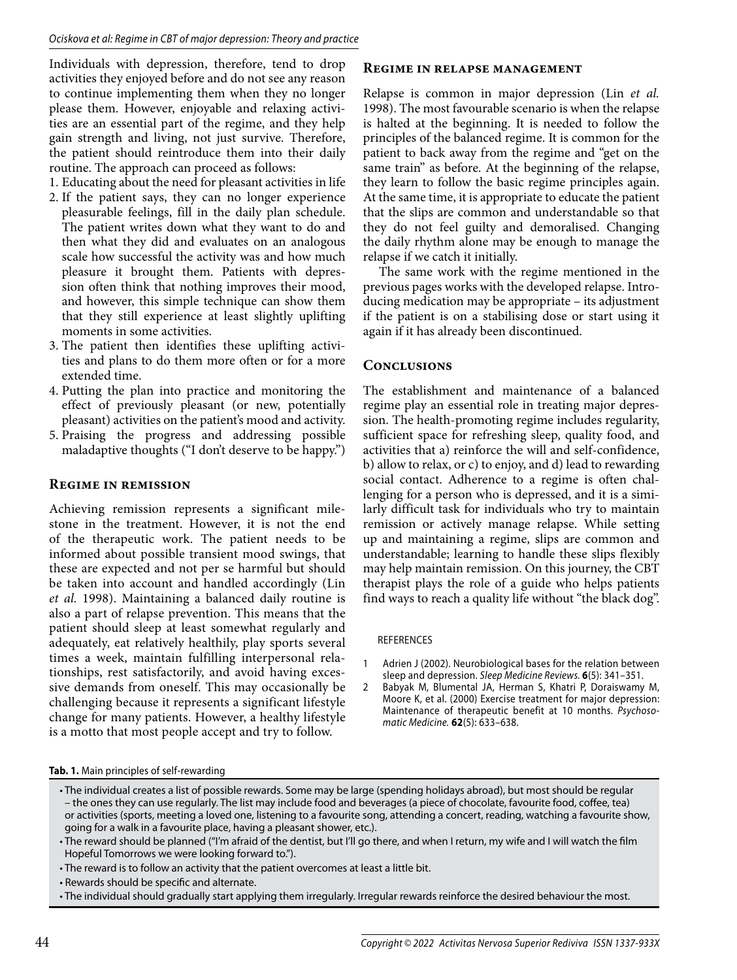Individuals with depression, therefore, tend to drop activities they enjoyed before and do not see any reason to continue implementing them when they no longer please them. However, enjoyable and relaxing activities are an essential part of the regime, and they help gain strength and living, not just survive. Therefore, the patient should reintroduce them into their daily routine. The approach can proceed as follows:

1. Educating about the need for pleasant activities in life

- 2. If the patient says, they can no longer experience pleasurable feelings, fill in the daily plan schedule. The patient writes down what they want to do and then what they did and evaluates on an analogous scale how successful the activity was and how much pleasure it brought them. Patients with depression often think that nothing improves their mood, and however, this simple technique can show them that they still experience at least slightly uplifting moments in some activities.
- 3. The patient then identifies these uplifting activities and plans to do them more often or for a more extended time.
- 4. Putting the plan into practice and monitoring the effect of previously pleasant (or new, potentially pleasant) activities on the patient's mood and activity.
- 5. Praising the progress and addressing possible maladaptive thoughts ("I don't deserve to be happy.")

## **Regime in remission**

Achieving remission represents a significant milestone in the treatment. However, it is not the end of the therapeutic work. The patient needs to be informed about possible transient mood swings, that these are expected and not per se harmful but should be taken into account and handled accordingly (Lin *et al.* 1998). Maintaining a balanced daily routine is also a part of relapse prevention. This means that the patient should sleep at least somewhat regularly and adequately, eat relatively healthily, play sports several times a week, maintain fulfilling interpersonal relationships, rest satisfactorily, and avoid having excessive demands from oneself. This may occasionally be challenging because it represents a significant lifestyle change for many patients. However, a healthy lifestyle is a motto that most people accept and try to follow.

### **Regime in relapse management**

Relapse is common in major depression (Lin *et al.* 1998). The most favourable scenario is when the relapse is halted at the beginning. It is needed to follow the principles of the balanced regime. It is common for the patient to back away from the regime and "get on the same train" as before. At the beginning of the relapse, they learn to follow the basic regime principles again. At the same time, it is appropriate to educate the patient that the slips are common and understandable so that they do not feel guilty and demoralised. Changing the daily rhythm alone may be enough to manage the relapse if we catch it initially.

The same work with the regime mentioned in the previous pages works with the developed relapse. Introducing medication may be appropriate – its adjustment if the patient is on a stabilising dose or start using it again if it has already been discontinued.

## **Conclusions**

The establishment and maintenance of a balanced regime play an essential role in treating major depression. The health-promoting regime includes regularity, sufficient space for refreshing sleep, quality food, and activities that a) reinforce the will and self-confidence, b) allow to relax, or c) to enjoy, and d) lead to rewarding social contact. Adherence to a regime is often challenging for a person who is depressed, and it is a similarly difficult task for individuals who try to maintain remission or actively manage relapse. While setting up and maintaining a regime, slips are common and understandable; learning to handle these slips flexibly may help maintain remission. On this journey, the CBT therapist plays the role of a guide who helps patients find ways to reach a quality life without "the black dog".

#### REFERENCES

1 Adrien J (2002). Neurobiological bases for the relation between sleep and depression. Sleep Medicine Reviews. **6**(5): 341–351.

2 Babyak M, Blumental JA, Herman S, Khatri P, Doraiswamy M, Moore K, et al. (2000) Exercise treatment for major depression: Maintenance of therapeutic benefit at 10 months. Psychosomatic Medicine. **62**(5): 633–638.

#### **Tab. 1.** Main principles of self-rewarding

• The individual creates a list of possible rewards. Some may be large (spending holidays abroad), but most should be regular – the ones they can use regularly. The list may include food and beverages (a piece of chocolate, favourite food, coffee, tea) or activities (sports, meeting a loved one, listening to a favourite song, attending a concert, reading, watching a favourite show, going for a walk in a favourite place, having a pleasant shower, etc.).

- The reward is to follow an activity that the patient overcomes at least a little bit.
- Rewards should be specific and alternate.
- The individual should gradually start applying them irregularly. Irregular rewards reinforce the desired behaviour the most.

<sup>•</sup> The reward should be planned ("I'm afraid of the dentist, but I'll go there, and when I return, my wife and I will watch the film Hopeful Tomorrows we were looking forward to.").